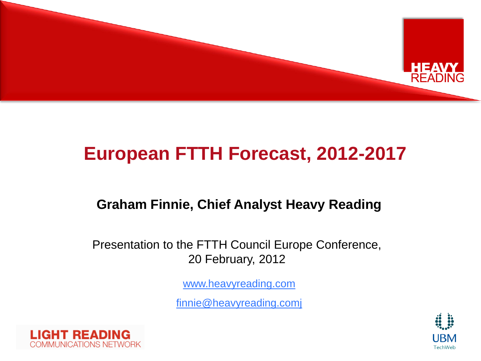

### **European FTTH Forecast, 2012-2017**

#### **Graham Finnie, Chief Analyst Heavy Reading**

Presentation to the FTTH Council Europe Conference, 20 February, 2012

[www.heavyreading.com](http://www.heavyreading.com/)

[finnie@heavyreading.comj](mailto:finnie@heavyreading.comj)



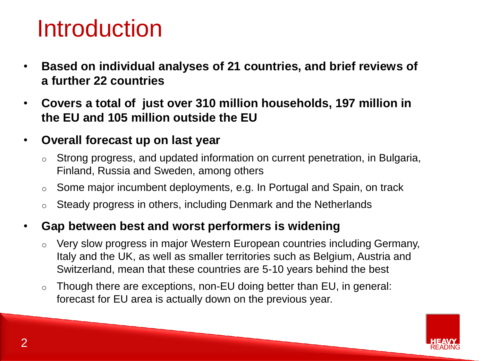# Introduction

- **Based on individual analyses of 21 countries, and brief reviews of a further 22 countries**
- **Covers a total of just over 310 million households, 197 million in the EU and 105 million outside the EU**
- **Overall forecast up on last year**
	- o Strong progress, and updated information on current penetration, in Bulgaria, Finland, Russia and Sweden, among others
	- o Some major incumbent deployments, e.g. In Portugal and Spain, on track
	- o Steady progress in others, including Denmark and the Netherlands

#### • **Gap between best and worst performers is widening**

- o Very slow progress in major Western European countries including Germany, Italy and the UK, as well as smaller territories such as Belgium, Austria and Switzerland, mean that these countries are 5-10 years behind the best
- o Though there are exceptions, non-EU doing better than EU, in general: forecast for EU area is actually down on the previous year.

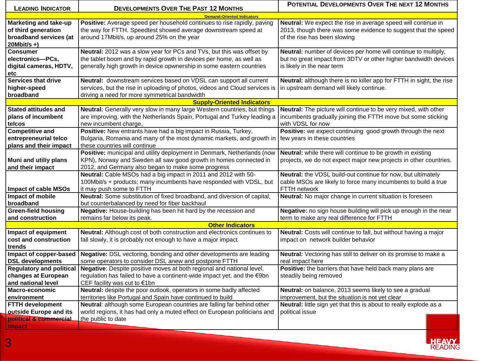| <b>LEADING INDICATOR</b>                                                               | <b>DEVELOPMENTS OVER THE PAST 12 MONTHS</b>                                                                                                                                                                          | POTENTIAL DEVELOPMENTS OVER THE NEXT 12 MONTHS                                                                                                                  |  |  |  |  |  |  |  |  |  |  |
|----------------------------------------------------------------------------------------|----------------------------------------------------------------------------------------------------------------------------------------------------------------------------------------------------------------------|-----------------------------------------------------------------------------------------------------------------------------------------------------------------|--|--|--|--|--|--|--|--|--|--|
|                                                                                        | <b>Demand-Oriented Indicators</b>                                                                                                                                                                                    |                                                                                                                                                                 |  |  |  |  |  |  |  |  |  |  |
| Marketing and take-up<br>of third generation<br>broadband services (at<br>$20Mbit/s +$ | Positive: Average speed per household continues to rise rapidly, paving<br>the way for FTTH. Speedtest showed average downstream speed at<br>around 17Mbit/s, up around 25% on the year                              | Neutral: We expect the rise in average speed will continue in<br>2013, though there was some evidence to suggest that the speed<br>of the rise has been slowing |  |  |  |  |  |  |  |  |  |  |
| <b>Consumer</b><br>electronics-PCs,<br>digital cameras, HDTV,<br>etc                   | Neutral: 2012 was a slow year for PCs and TVs, but this was offset by<br>the tablet boom and by rapid growth in devices per home, as well as<br>generally high growth in device opwnership in some eastern countries | Neutral: number of devices per home will continue to multiply,<br>but no great impact from 3DTV or other higher bandwidth devices<br>is likely in the near term |  |  |  |  |  |  |  |  |  |  |
| <b>Services that drive</b><br>higher-speed<br>broadband                                | Neutral: downstream services based on VDSL can support all current<br>services, but the rise in uploading of photos, videos and Cloud services is<br>driving a need for more symmetrical bandwidth                   | Neutral: although there is no killer app for FTTH in sight, the rise<br>in upstream demand will likely continue.                                                |  |  |  |  |  |  |  |  |  |  |
| <b>Supply-Oriented Indicators</b>                                                      |                                                                                                                                                                                                                      |                                                                                                                                                                 |  |  |  |  |  |  |  |  |  |  |
| <b>Stated attitudes and</b><br>plans of incumbent<br>telcos                            | Neutral: Generally very slow in many large Western countries, but things<br>are improving, with the Netherlands Spain, Portugal and Turkey leading a<br>new incumbent charge.                                        | Neutral: The picture will continue to be very mixed, with other<br>incumbents gradually joining the FTTH move but some sticking<br>with VDSL for now            |  |  |  |  |  |  |  |  |  |  |
| <b>Competitive and</b><br>entrepreneurial telco<br>plans and their impact              | Positive: New entrants have had a big impact in Russia, Turkey,<br>Bulgaria, Romania and many of the most dynamic markets, and growth in<br>these countries will continue                                            | Positive: we expect continuing good growth through the next<br>few years in these countries                                                                     |  |  |  |  |  |  |  |  |  |  |
| Muni and utiliy plans<br>and their impact                                              | Positive: municipal and utility deployment in Denmark, Netherlands (now<br>KPN), Norway and Sweden all saw good growth in homes connected in<br>2012, and Germany also began to make some progress                   | Neutral: while there will continue to be growth in existing<br>projects, we do not expect major new projects in other countries.                                |  |  |  |  |  |  |  |  |  |  |
| <b>Impact of cable MSOs</b>                                                            | Neutral: Cable MSOs had a big impact in 2011 and 2012 with 50-<br>100Mbit/s + products; many incumbents have responded with VDSL, but<br>it may push some to FTTH                                                    | Neutral: the VDSL build-out continue for now, but ultimately<br>cable MSOs are likely to force many incumbents to build a true<br>FTTH network                  |  |  |  |  |  |  |  |  |  |  |
| Impact of mobile<br>broadband                                                          | Neutral: Some substitution of fixed broadband, and diversion of capital,<br>but counterbalanced by need for fiber backhaul                                                                                           | Neutral: No major change in current situation is foreseen                                                                                                       |  |  |  |  |  |  |  |  |  |  |
| <b>Green-field housing</b><br>and construction                                         | Negative: House-building has been hit hard by the recession and<br>remains far below its peak.                                                                                                                       | Negative: no sign house building will pick up enough in the near<br>term to make any real difference for FTTH                                                   |  |  |  |  |  |  |  |  |  |  |
|                                                                                        | <b>Other Indicators</b>                                                                                                                                                                                              |                                                                                                                                                                 |  |  |  |  |  |  |  |  |  |  |
| Impact of equipment<br>cost and construction<br>trends                                 | Neutral: Although cost of both construction and electronics continues to<br>fall slowly, it is probably not enough to have a major impact                                                                            | Neutral: Costs will continue to fall, but without having a major<br>impact on network builder behavior                                                          |  |  |  |  |  |  |  |  |  |  |
| Impact of copper-based<br><b>DSL</b> developments                                      | Negative: DSL vectoring, bonding and other developments are leading<br>some operators to consider DSL anew and postpone FTTH                                                                                         | Neutral: Vectoring has still to deliver on its promise to make a<br>real impact here                                                                            |  |  |  |  |  |  |  |  |  |  |
| <b>Regulatory and political</b><br>changes at European<br>and national level           | Negative: Despite positive moves at both regional and national level,<br>regulation has failed to have a continent-wide impact yet, and the €9bn<br>CEF facility was cut to €1bn                                     | Positive: the barriers that have held back many plans are<br>steadily being removed                                                                             |  |  |  |  |  |  |  |  |  |  |
| <b>Macro-economic</b><br>environment                                                   | Neutral: despite the poor outlook, operators in some badly affected<br>territories like Portugal and Spain have continued to build                                                                                   | Neutral: on balance, 2013 seems likely to see a gradual<br>improvement, but the situation is not yet clear                                                      |  |  |  |  |  |  |  |  |  |  |
| <b>FTTH development</b><br>outside Europe and its<br>political & commercial            | Neutral: although some European countries are falling far behind other<br>world regions, it has had only a muted effect on European politicians and                                                                  | Neutral: little sign yet that this is about to really explode as a<br>political issue                                                                           |  |  |  |  |  |  |  |  |  |  |
| <i>impact</i>                                                                          | the public to date                                                                                                                                                                                                   |                                                                                                                                                                 |  |  |  |  |  |  |  |  |  |  |

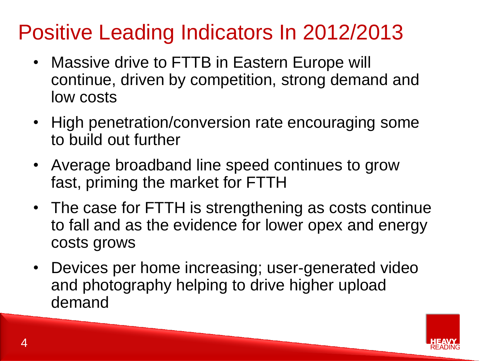# Positive Leading Indicators In 2012/2013

- Massive drive to FTTB in Eastern Europe will continue, driven by competition, strong demand and low costs
- High penetration/conversion rate encouraging some to build out further
- Average broadband line speed continues to grow fast, priming the market for FTTH
- The case for FTTH is strengthening as costs continue to fall and as the evidence for lower opex and energy costs grows
- Devices per home increasing; user-generated video and photography helping to drive higher upload demand

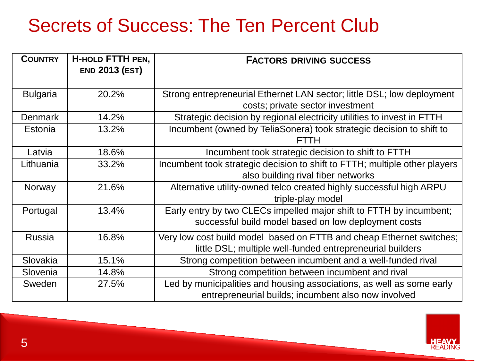### Secrets of Success: The Ten Percent Club

| <b>COUNTRY</b>  | <b>H-HOLD FTTH PEN,</b><br><b>END 2013 (EST)</b> | <b>FACTORS DRIVING SUCCESS</b>                                             |
|-----------------|--------------------------------------------------|----------------------------------------------------------------------------|
|                 |                                                  |                                                                            |
| <b>Bulgaria</b> | 20.2%                                            | Strong entrepreneurial Ethernet LAN sector; little DSL; low deployment     |
|                 |                                                  | costs; private sector investment                                           |
| <b>Denmark</b>  | 14.2%                                            | Strategic decision by regional electricity utilities to invest in FTTH     |
| Estonia         | 13.2%                                            | Incumbent (owned by TeliaSonera) took strategic decision to shift to       |
|                 |                                                  | FTTH                                                                       |
| Latvia          | 18.6%                                            | Incumbent took strategic decision to shift to FTTH                         |
| Lithuania       | 33.2%                                            | Incumbent took strategic decision to shift to FTTH; multiple other players |
|                 |                                                  | also building rival fiber networks                                         |
| Norway          | 21.6%                                            | Alternative utility-owned telco created highly successful high ARPU        |
|                 |                                                  | triple-play model                                                          |
| Portugal        | 13.4%                                            | Early entry by two CLECs impelled major shift to FTTH by incumbent;        |
|                 |                                                  | successful build model based on low deployment costs                       |
| <b>Russia</b>   | 16.8%                                            | Very low cost build model based on FTTB and cheap Ethernet switches;       |
|                 |                                                  | little DSL; multiple well-funded entrepreneurial builders                  |
| Slovakia        | 15.1%                                            | Strong competition between incumbent and a well-funded rival               |
| Slovenia        | 14.8%                                            | Strong competition between incumbent and rival                             |
| Sweden          | 27.5%                                            | Led by municipalities and housing associations, as well as some early      |
|                 |                                                  | entrepreneurial builds; incumbent also now involved                        |

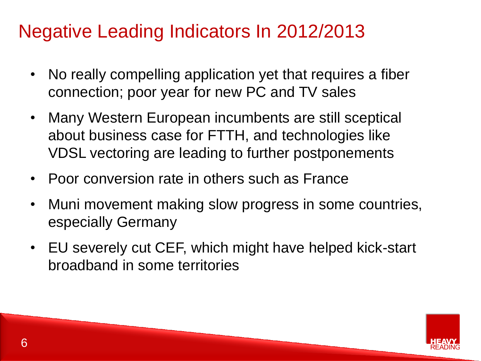### Negative Leading Indicators In 2012/2013

- No really compelling application yet that requires a fiber connection; poor year for new PC and TV sales
- Many Western European incumbents are still sceptical about business case for FTTH, and technologies like VDSL vectoring are leading to further postponements
- Poor conversion rate in others such as France
- Muni movement making slow progress in some countries, especially Germany
- EU severely cut CEF, which might have helped kick-start broadband in some territories

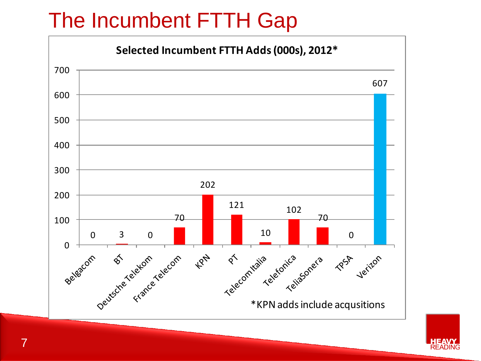# The Incumbent FTTH Gap



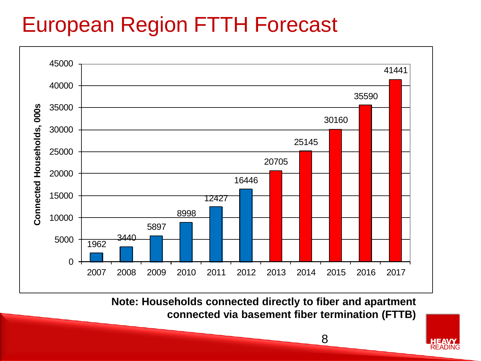# European Region FTTH Forecast



**Note: Households connected directly to fiber and apartment connected via basement fiber termination (FTTB)**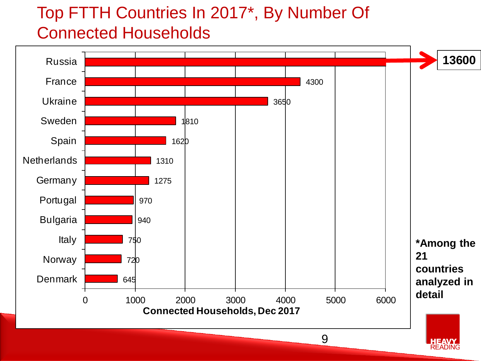#### Top FTTH Countries In 2017\*, By Number Of Connected Households

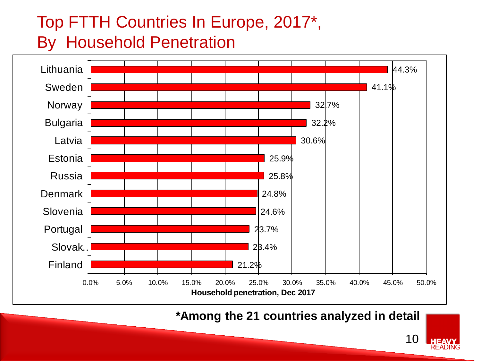#### Top FTTH Countries In Europe, 2017\*, By Household Penetration



**\*Among the 21 countries analyzed in detail**

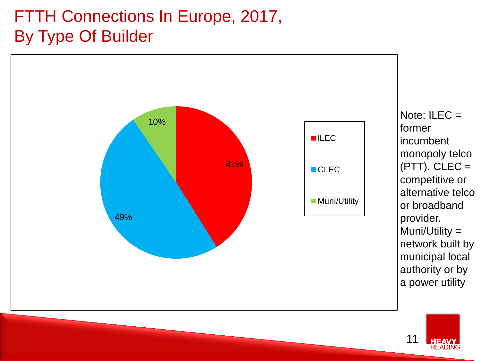#### FTTH Connections In Europe, 2017, By Type Of Builder



Note:  $ILEC =$ former incumbent monopoly telco  $(PTT)$ . CLEC = competitive or alternative telco or broadband provider. Muni/Utility = network built by municipal local authority or by a power utility

11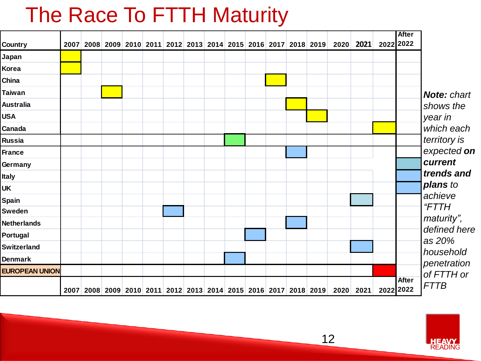## The Race To FTTH Maturity

| Country               |  |  |  |  |  |  | 2007 2008 2009 2010 2011 2012 2013 2014 2015 2016 2017 2018 2019 | 2020 2021                                                                  | 2022 2022 | <b>After</b> |                            |
|-----------------------|--|--|--|--|--|--|------------------------------------------------------------------|----------------------------------------------------------------------------|-----------|--------------|----------------------------|
| Japan                 |  |  |  |  |  |  |                                                                  |                                                                            |           |              |                            |
| Korea                 |  |  |  |  |  |  |                                                                  |                                                                            |           |              |                            |
| China                 |  |  |  |  |  |  |                                                                  |                                                                            |           |              |                            |
| <b>Taiwan</b>         |  |  |  |  |  |  |                                                                  |                                                                            |           |              | <b>Note: chart</b>         |
| <b>Australia</b>      |  |  |  |  |  |  |                                                                  |                                                                            |           |              | shows the                  |
| <b>USA</b>            |  |  |  |  |  |  |                                                                  |                                                                            |           |              | year in                    |
| Canada                |  |  |  |  |  |  |                                                                  |                                                                            |           |              | which each                 |
| <b>Russia</b>         |  |  |  |  |  |  |                                                                  |                                                                            |           |              | territory is               |
| <b>France</b>         |  |  |  |  |  |  |                                                                  |                                                                            |           |              | expected on                |
| Germany               |  |  |  |  |  |  |                                                                  |                                                                            |           |              | current                    |
| Italy                 |  |  |  |  |  |  |                                                                  |                                                                            |           |              | trends and                 |
| <b>UK</b>             |  |  |  |  |  |  |                                                                  |                                                                            |           |              | plans to                   |
| <b>Spain</b>          |  |  |  |  |  |  |                                                                  |                                                                            |           |              | achieve                    |
| Sweden                |  |  |  |  |  |  |                                                                  |                                                                            |           |              | "FTTH                      |
| <b>Netherlands</b>    |  |  |  |  |  |  |                                                                  |                                                                            |           |              | maturity",<br>defined here |
| Portugal              |  |  |  |  |  |  |                                                                  |                                                                            |           |              | as 20%                     |
| <b>Switzerland</b>    |  |  |  |  |  |  |                                                                  |                                                                            |           |              | household                  |
| <b>Denmark</b>        |  |  |  |  |  |  |                                                                  |                                                                            |           |              | penetration                |
| <b>EUROPEAN UNION</b> |  |  |  |  |  |  |                                                                  |                                                                            |           |              | of FTTH or                 |
|                       |  |  |  |  |  |  |                                                                  | 2007 2008 2009 2010 2011 2012 2013 2014 2015 2016 2017 2018 2019 2020 2021 | 2022 2022 | <b>After</b> | <b>FTTB</b>                |



12